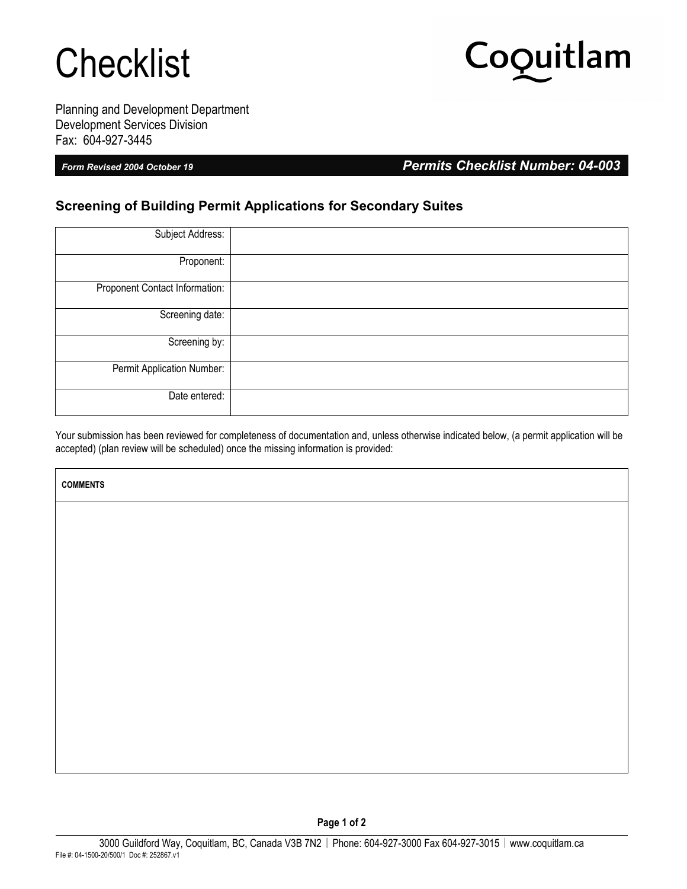## **Checklist**

# Coquitlam

Planning and Development Department Development Services Division Fax: 604-927-3445

Г

*Form Revised 2004 October 19 Permits Checklist Number: 04-003*

### **Screening of Building Permit Applications for Secondary Suites**

| Subject Address:               |  |
|--------------------------------|--|
| Proponent:                     |  |
| Proponent Contact Information: |  |
| Screening date:                |  |
| Screening by:                  |  |
| Permit Application Number:     |  |
| Date entered:                  |  |

Your submission has been reviewed for completeness of documentation and, unless otherwise indicated below, (a permit application will be accepted) (plan review will be scheduled) once the missing information is provided:

| <b>COMMENTS</b> |
|-----------------|
|                 |
|                 |
|                 |
|                 |
|                 |
|                 |
|                 |
|                 |
|                 |
|                 |
|                 |